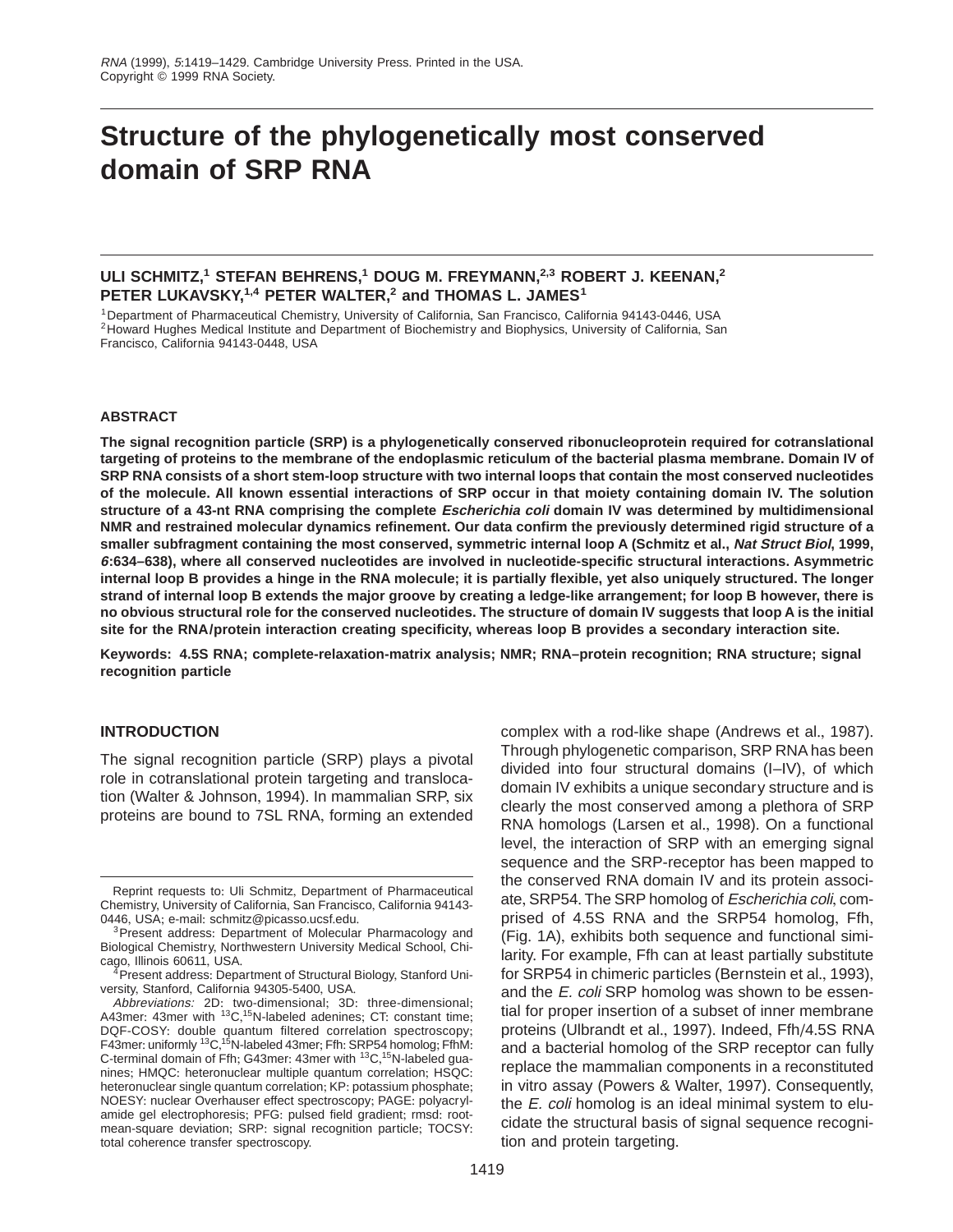# **Structure of the phylogenetically most conserved domain of SRP RNA**

# **ULI SCHMITZ,1 STEFAN BEHRENS,1 DOUG M. FREYMANN,2,3 ROBERT J. KEENAN,2 PETER LUKAVSKY,1,4 PETER WALTER,2 and THOMAS L. JAMES<sup>1</sup>**

<sup>1</sup> Department of Pharmaceutical Chemistry, University of California, San Francisco, California 94143-0446, USA<br><sup>2</sup>Howard Hughes Medical Institute and Department of Biochemistry and Biophysics, University of California, Sa Francisco, California 94143-0448, USA

## **ABSTRACT**

**The signal recognition particle (SRP) is a phylogenetically conserved ribonucleoprotein required for cotranslational targeting of proteins to the membrane of the endoplasmic reticulum of the bacterial plasma membrane. Domain IV of SRP RNA consists of a short stem-loop structure with two internal loops that contain the most conserved nucleotides of the molecule. All known essential interactions of SRP occur in that moiety containing domain IV. The solution structure of a 43-nt RNA comprising the complete Escherichia coli domain IV was determined by multidimensional NMR and restrained molecular dynamics refinement. Our data confirm the previously determined rigid structure of a smaller subfragment containing the most conserved, symmetric internal loop A (Schmitz et al., Nat Struct Biol, 1999, 6:634–638), where all conserved nucleotides are involved in nucleotide-specific structural interactions. Asymmetric internal loop B provides a hinge in the RNA molecule; it is partially flexible, yet also uniquely structured. The longer strand of internal loop B extends the major groove by creating a ledge-like arrangement; for loop B however, there is no obvious structural role for the conserved nucleotides. The structure of domain IV suggests that loop A is the initial site for the RNA/protein interaction creating specificity, whereas loop B provides a secondary interaction site.**

**Keywords: 4.5S RNA; complete-relaxation-matrix analysis; NMR; RNA–protein recognition; RNA structure; signal recognition particle**

## **INTRODUCTION**

The signal recognition particle (SRP) plays a pivotal role in cotranslational protein targeting and translocation (Walter & Johnson, 1994). In mammalian SRP, six proteins are bound to 7SL RNA, forming an extended

complex with a rod-like shape (Andrews et al., 1987). Through phylogenetic comparison, SRP RNA has been divided into four structural domains (I–IV), of which domain IV exhibits a unique secondary structure and is clearly the most conserved among a plethora of SRP RNA homologs (Larsen et al., 1998). On a functional level, the interaction of SRP with an emerging signal sequence and the SRP-receptor has been mapped to the conserved RNA domain IV and its protein associate, SRP54. The SRP homolog of Escherichia coli, comprised of 4.5S RNA and the SRP54 homolog, Ffh, (Fig. 1A), exhibits both sequence and functional similarity. For example, Ffh can at least partially substitute for SRP54 in chimeric particles (Bernstein et al., 1993), and the E. coli SRP homolog was shown to be essential for proper insertion of a subset of inner membrane proteins (Ulbrandt et al., 1997). Indeed, Ffh/4.5S RNA and a bacterial homolog of the SRP receptor can fully replace the mammalian components in a reconstituted in vitro assay (Powers & Walter, 1997). Consequently, the  $E$ . coli homolog is an ideal minimal system to elucidate the structural basis of signal sequence recognition and protein targeting.

Reprint requests to: Uli Schmitz, Department of Pharmaceutical Chemistry, University of California, San Francisco, California 94143-<br>0446, USA: e-mail: schmitz@picasso.ucsf.edu.

<sup>&</sup>lt;sup>3</sup> Present address: Department of Molecular Pharmacology and Biological Chemistry, Northwestern University Medical School, Chi-

<sup>&</sup>lt;sup>4</sup> Present address: Department of Structural Biology, Stanford University, Stanford, California 94305-5400, USA+

Abbreviations: 2D: two-dimensional; 3D: three-dimensional; A43mer: 43mer with <sup>13</sup>C,<sup>15</sup>N-labeled adenines; CT: constant time; DQF-COSY: double quantum filtered correlation spectroscopy; F43mer: uniformly <sup>13</sup>C,<sup>15</sup>N-labeled 43mer; Ffh: SRP54 homolog; FfhM: C-terminal domain of Ffh; G43mer: 43mer with <sup>13</sup>C, <sup>15</sup>N-labeled guanines; HMQC: heteronuclear multiple quantum correlation; HSQC: heteronuclear single quantum correlation; KP: potassium phosphate; NOESY: nuclear Overhauser effect spectroscopy; PAGE: polyacrylamide gel electrophoresis; PFG: pulsed field gradient; rmsd: rootmean-square deviation; SRP: signal recognition particle; TOCSY: total coherence transfer spectroscopy.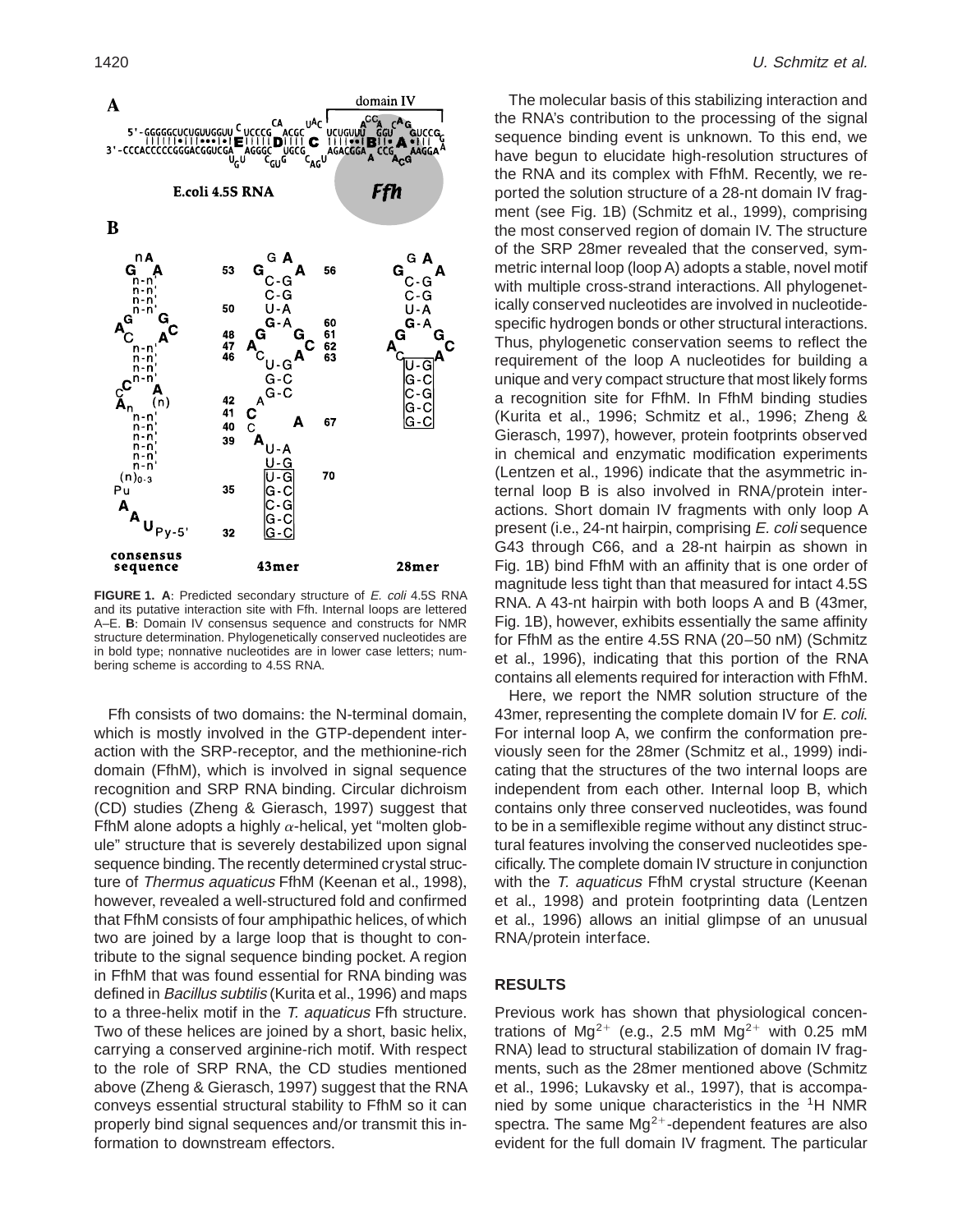

**FIGURE 1. A:** Predicted secondary structure of *E. coli* 4.5S RNA and its putative interaction site with Ffh. Internal loops are lettered A–E. B: Domain IV consensus sequence and constructs for NMR structure determination. Phylogenetically conserved nucleotides are in bold type; nonnative nucleotides are in lower case letters; numbering scheme is according to 4.5S RNA.

Ffh consists of two domains: the N-terminal domain, which is mostly involved in the GTP-dependent interaction with the SRP-receptor, and the methionine-rich domain (FfhM), which is involved in signal sequence recognition and SRP RNA binding. Circular dichroism (CD) studies (Zheng & Gierasch, 1997) suggest that FfhM alone adopts a highly  $\alpha$ -helical, yet "molten globule" structure that is severely destabilized upon signal sequence binding. The recently determined crystal structure of Thermus aquaticus FfhM (Keenan et al., 1998), however, revealed a well-structured fold and confirmed that FfhM consists of four amphipathic helices, of which two are joined by a large loop that is thought to contribute to the signal sequence binding pocket. A region in FfhM that was found essential for RNA binding was defined in Bacillus subtilis (Kurita et al., 1996) and maps to a three-helix motif in the  $T$ . aquaticus Ffh structure. Two of these helices are joined by a short, basic helix, carrying a conserved arginine-rich motif. With respect to the role of SRP RNA, the CD studies mentioned above (Zheng & Gierasch, 1997) suggest that the RNA conveys essential structural stability to FfhM so it can properly bind signal sequences and/or transmit this information to downstream effectors.

The molecular basis of this stabilizing interaction and the RNA's contribution to the processing of the signal sequence binding event is unknown. To this end, we have begun to elucidate high-resolution structures of the RNA and its complex with FfhM. Recently, we reported the solution structure of a 28-nt domain IV fragment (see Fig. 1B) (Schmitz et al., 1999), comprising the most conserved region of domain IV. The structure of the SRP 28mer revealed that the conserved, symmetric internal loop (loop A) adopts a stable, novel motif with multiple cross-strand interactions. All phylogenetically conserved nucleotides are involved in nucleotidespecific hydrogen bonds or other structural interactions. Thus, phylogenetic conservation seems to reflect the requirement of the loop A nucleotides for building a unique and very compact structure that most likely forms a recognition site for FfhM. In FfhM binding studies (Kurita et al., 1996; Schmitz et al., 1996; Zheng  $&$ Gierasch, 1997), however, protein footprints observed in chemical and enzymatic modification experiments (Lentzen et al., 1996) indicate that the asymmetric internal loop B is also involved in RNA/protein interactions. Short domain IV fragments with only loop A present (i.e., 24-nt hairpin, comprising E. coli sequence G43 through C66, and a 28-nt hairpin as shown in Fig. 1B) bind FfhM with an affinity that is one order of magnitude less tight than that measured for intact 4.5S RNA, A 43-nt hairpin with both loops A and B (43mer, Fig. 1B), however, exhibits essentially the same affinity for FfhM as the entire 4.5S RNA (20–50 nM) (Schmitz et al., 1996), indicating that this portion of the RNA contains all elements required for interaction with FfhM.

Here, we report the NMR solution structure of the 43mer, representing the complete domain IV for E. coli. For internal loop A, we confirm the conformation previously seen for the 28mer (Schmitz et al., 1999) indicating that the structures of the two internal loops are independent from each other. Internal loop B, which contains only three conserved nucleotides, was found to be in a semiflexible regime without any distinct structural features involving the conserved nucleotides specifically. The complete domain IV structure in conjunction with the T. aquaticus FfhM crystal structure (Keenan et al., 1998) and protein footprinting data (Lentzen et al., 1996) allows an initial glimpse of an unusual RNA/protein interface.

## **RESULTS**

Previous work has shown that physiological concentrations of Mg<sup>2+</sup> (e.g., 2.5 mM Mg<sup>2+</sup> with 0.25 mM RNA) lead to structural stabilization of domain IV fragments, such as the 28mer mentioned above (Schmitz et al., 1996; Lukavsky et al., 1997), that is accompanied by some unique characteristics in the 1H NMR spectra. The same  $Mq^{2+}$ -dependent features are also evident for the full domain IV fragment. The particular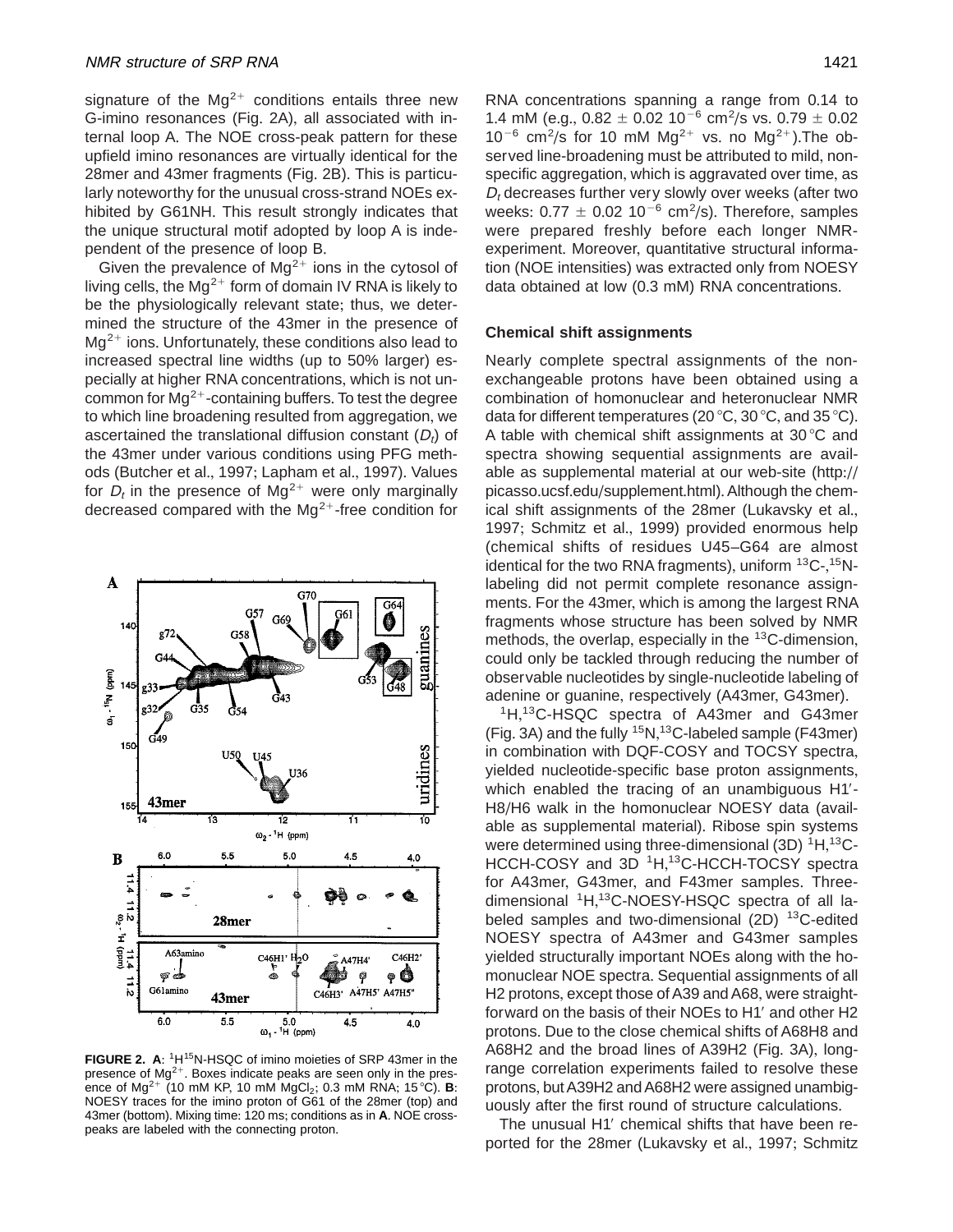signature of the  $Mg^{2+}$  conditions entails three new G-imino resonances (Fig. 2A), all associated with internal loop A. The NOE cross-peak pattern for these upfield imino resonances are virtually identical for the 28 mer and 43 mer fragments (Fig. 2B). This is particularly noteworthy for the unusual cross-strand NOEs exhibited by G61NH. This result strongly indicates that the unique structural motif adopted by loop A is independent of the presence of loop B.

Given the prevalence of  $Mg^{2+}$  ions in the cytosol of living cells, the  $Mg^{2+}$  form of domain IV RNA is likely to be the physiologically relevant state; thus, we determined the structure of the 43mer in the presence of  $Mg^{2+}$  ions. Unfortunately, these conditions also lead to increased spectral line widths (up to 50% larger) especially at higher RNA concentrations, which is not uncommon for  $Mg^{2+}$ -containing buffers. To test the degree to which line broadening resulted from aggregation, we ascertained the translational diffusion constant  $(D_t)$  of the 43mer under various conditions using PFG methods (Butcher et al., 1997; Lapham et al., 1997). Values for  $D_t$  in the presence of Mg<sup>2+</sup> were only marginally decreased compared with the  $Mg^{2+}$ -free condition for



FIGURE 2. A: <sup>1</sup>H<sup>15</sup>N-HSQC of imino moieties of SRP 43mer in the presence of  $Mg^{2+}$ . Boxes indicate peaks are seen only in the presence of Mg<sup>2+</sup> (10 mM KP, 10 mM MgCl<sub>2</sub>; 0.3 mM RNA; 15 °C). **B**: NOESY traces for the imino proton of G61 of the 28mer (top) and 43mer (bottom). Mixing time: 120 ms; conditions as in A. NOE crosspeaks are labeled with the connecting proton.

RNA concentrations spanning a range from 0.14 to 1.4 mM (e.g.,  $0.82 \pm 0.02$  10<sup>-6</sup> cm<sup>2</sup>/s vs. 0.79  $\pm$  0.02  $10^{-6}$  cm<sup>2</sup>/s for 10 mM Mg<sup>2+</sup> vs. no Mg<sup>2+</sup>). The observed line-broadening must be attributed to mild, nonspecific aggregation, which is aggravated over time, as  $D_t$  decreases further very slowly over weeks (after two weeks:  $0.77 \pm 0.02$  10<sup>-6</sup> cm<sup>2</sup>/s). Therefore, samples were prepared freshly before each longer NMRexperiment. Moreover, quantitative structural information (NOE intensities) was extracted only from NOESY data obtained at low (0.3 mM) RNA concentrations.

## **Chemical shift assignments**

Nearly complete spectral assignments of the nonexchangeable protons have been obtained using a combination of homonuclear and heteronuclear NMR data for different temperatures (20  $\degree$ C, 30  $\degree$ C, and 35  $\degree$ C). A table with chemical shift assignments at  $30^{\circ}$ C and spectra showing sequential assignments are available as supplemental material at our web-site (http:// picasso.ucsf.edu/supplement.html). Although the chemical shift assignments of the 28mer (Lukavsky et al., 1997; Schmitz et al., 1999) provided enormous help (chemical shifts of residues U45–G64 are almost identical for the two RNA fragments), uniform <sup>13</sup>C-,<sup>15</sup>Nlabeling did not permit complete resonance assignments. For the 43mer, which is among the largest RNA fragments whose structure has been solved by NMR methods, the overlap, especially in the <sup>13</sup>C-dimension, could only be tackled through reducing the number of observable nucleotides by single-nucleotide labeling of adenine or guanine, respectively (A43mer, G43mer).

<sup>1</sup>H,<sup>13</sup>C-HSQC spectra of A43mer and G43mer (Fig. 3A) and the fully  $15N$ ,  $13C$ -labeled sample (F43mer) in combination with DQF-COSY and TOCSY spectra, yielded nucleotide-specific base proton assignments, which enabled the tracing of an unambiguous H1'-H8/H6 walk in the homonuclear NOESY data (available as supplemental material). Ribose spin systems were determined using three-dimensional  $(3D)$   $^1H, ^{13}C$ -HCCH-COSY and 3D <sup>1</sup>H,<sup>13</sup>C-HCCH-TOCSY spectra for A43mer, G43mer, and F43mer samples. Threedimensional <sup>1</sup>H,<sup>13</sup>C-NOESY-HSQC spectra of all labeled samples and two-dimensional  $(2D)$  <sup>13</sup>C-edited NOESY spectra of A43mer and G43mer samples yielded structurally important NOEs along with the homonuclear NOE spectra. Sequential assignments of all H2 protons, except those of A39 and A68, were straightforward on the basis of their NOEs to H1' and other H2 protons. Due to the close chemical shifts of A68H8 and A68H2 and the broad lines of A39H2 (Fig. 3A), longrange correlation experiments failed to resolve these protons, but A39H2 and A68H2 were assigned unambiguously after the first round of structure calculations+

The unusual H1' chemical shifts that have been reported for the 28mer (Lukavsky et al., 1997; Schmitz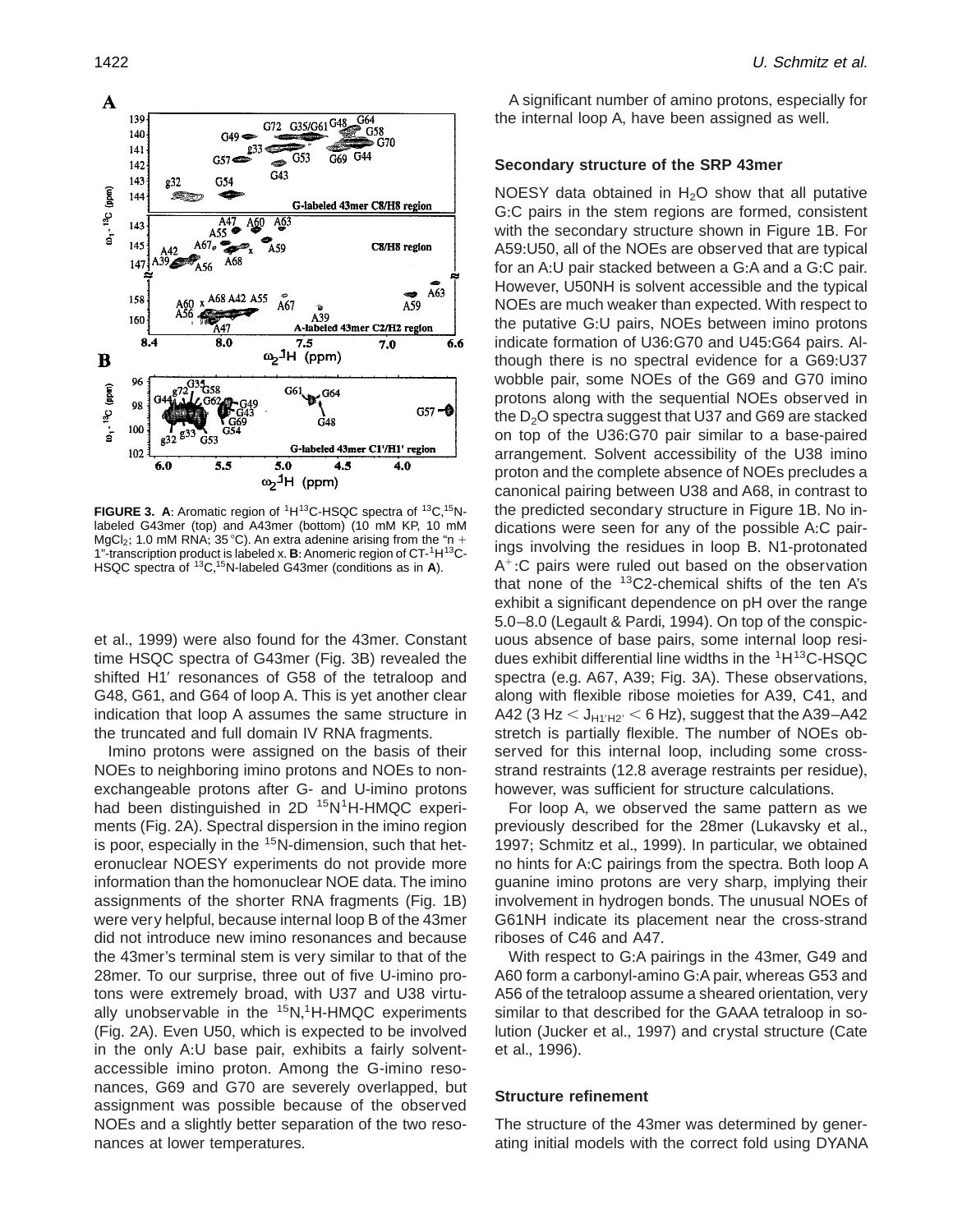

**FIGURE 3. A:** Aromatic region of <sup>1</sup>H<sup>13</sup>C-HSQC spectra of <sup>13</sup>C, <sup>15</sup>Nlabeled G43mer (top) and A43mer (bottom) (10 mM KP, 10 mM MgCl<sub>2</sub>; 1.0 mM RNA; 35 °C). An extra adenine arising from the "n + 1"-transcription product is labeled x. **B**: Anomeric region of CT-<sup>1</sup>H<sup>13</sup>C-HSQC spectra of <sup>13</sup>C,<sup>15</sup>N-labeled G43mer (conditions as in **A**).

et al., 1999) were also found for the 43mer. Constant time HSQC spectra of G43mer (Fig. 3B) revealed the shifted H1' resonances of G58 of the tetraloop and G48, G61, and G64 of loop A. This is yet another clear indication that loop A assumes the same structure in the truncated and full domain IV RNA fragments.

Imino protons were assigned on the basis of their NOEs to neighboring imino protons and NOEs to nonexchangeable protons after G- and U-imino protons had been distinguished in  $2D^{-15}N^1H$ -HMQC experiments (Fig. 2A). Spectral dispersion in the imino region is poor, especially in the  $15N$ -dimension, such that heteronuclear NOESY experiments do not provide more information than the homonuclear NOE data. The imino assignments of the shorter RNA fragments (Fig. 1B) were very helpful, because internal loop B of the 43mer did not introduce new imino resonances and because the 43mer's terminal stem is very similar to that of the 28mer. To our surprise, three out of five U-imino protons were extremely broad, with U37 and U38 virtually unobservable in the <sup>15</sup>N,<sup>1</sup>H-HMQC experiments (Fig. 2A). Even U50, which is expected to be involved in the only A:U base pair, exhibits a fairly solventaccessible imino proton. Among the G-imino resonances, G69 and G70 are severely overlapped, but assignment was possible because of the observed NOEs and a slightly better separation of the two resonances at lower temperatures.

A significant number of amino protons, especially for the internal loop A, have been assigned as well.

#### **Secondary structure of the SRP 43mer**

NOESY data obtained in  $H<sub>2</sub>O$  show that all putative G:C pairs in the stem regions are formed, consistent with the secondary structure shown in Figure 1B. For A59:U50, all of the NOEs are observed that are typical for an A:U pair stacked between a G:A and a G:C pair. However, U50NH is solvent accessible and the typical NOEs are much weaker than expected. With respect to the putative G:U pairs, NOEs between imino protons indicate formation of U36:G70 and U45:G64 pairs. Although there is no spectral evidence for a G69:U37 wobble pair, some NOEs of the G69 and G70 imino protons along with the sequential NOEs observed in the  $D_2O$  spectra suggest that U37 and G69 are stacked on top of the U36:G70 pair similar to a base-paired arrangement. Solvent accessibility of the U38 imino proton and the complete absence of NOEs precludes a canonical pairing between U38 and A68, in contrast to the predicted secondary structure in Figure 1B. No indications were seen for any of the possible A:C pairings involving the residues in loop B. N1-protonated  $A^{\dagger}$ : C pairs were ruled out based on the observation that none of the  $13C2$ -chemical shifts of the ten A's exhibit a significant dependence on pH over the range 5.0–8.0 (Legault & Pardi, 1994). On top of the conspicuous absence of base pairs, some internal loop residues exhibit differential line widths in the 1H13C-HSQC spectra (e.g. A67, A39; Fig. 3A). These observations, along with flexible ribose moieties for A39, C41, and A42 (3 Hz  $<$  J<sub>H1'H2'</sub>  $<$  6 Hz), suggest that the A39–A42 stretch is partially flexible. The number of NOEs observed for this internal loop, including some crossstrand restraints (12.8 average restraints per residue), however, was sufficient for structure calculations.

For loop A, we observed the same pattern as we previously described for the 28mer (Lukavsky et al., 1997; Schmitz et al., 1999). In particular, we obtained no hints for A:C pairings from the spectra. Both loop A guanine imino protons are very sharp, implying their involvement in hydrogen bonds. The unusual NOEs of G61NH indicate its placement near the cross-strand riboses of C46 and A47.

With respect to G:A pairings in the 43mer, G49 and A60 form a carbonyl-amino G:A pair, whereas G53 and A56 of the tetraloop assume a sheared orientation, very similar to that described for the GAAA tetraloop in solution (Jucker et al., 1997) and crystal structure (Cate et al., 1996).

## **Structure refinement**

The structure of the 43mer was determined by generating initial models with the correct fold using DYANA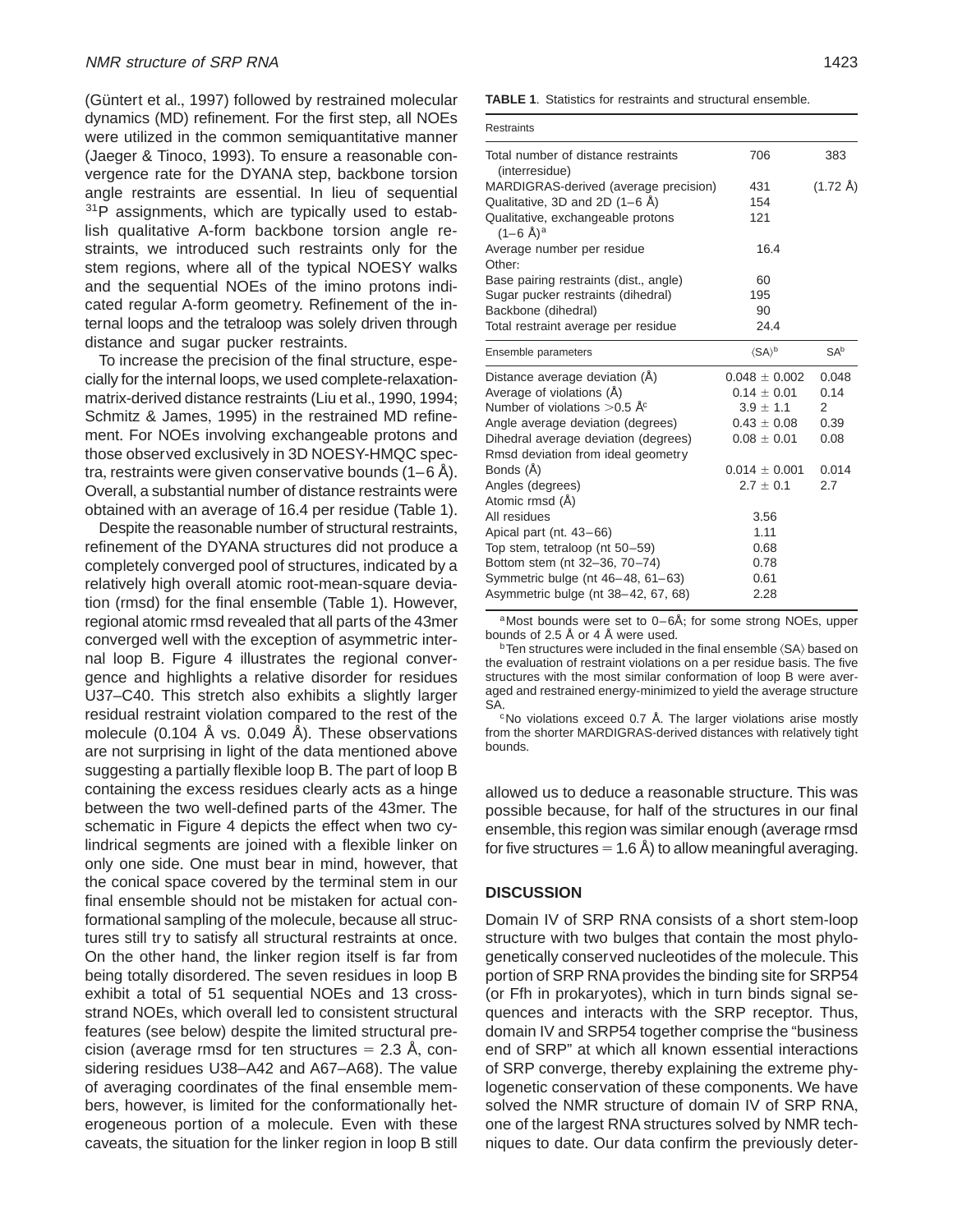(Güntert et al., 1997) followed by restrained molecular dynamics (MD) refinement. For the first step, all NOEs were utilized in the common semiquantitative manner (Jaeger & Tinoco, 1993). To ensure a reasonable convergence rate for the DYANA step, backbone torsion angle restraints are essential. In lieu of sequential <sup>31</sup>P assignments, which are typically used to establish qualitative A-form backbone torsion angle restraints, we introduced such restraints only for the stem regions, where all of the typical NOESY walks and the sequential NOEs of the imino protons indicated regular A-form geometry. Refinement of the internal loops and the tetraloop was solely driven through distance and sugar pucker restraints.

To increase the precision of the final structure, especially for the internal loops, we used complete-relaxationmatrix-derived distance restraints (Liu et al+, 1990, 1994; Schmitz & James, 1995) in the restrained MD refinement. For NOEs involving exchangeable protons and those observed exclusively in 3D NOESY-HMQC spectra, restraints were given conservative bounds  $(1-6 \text{ A})$ . Overall, a substantial number of distance restraints were obtained with an average of 16.4 per residue (Table 1).

Despite the reasonable number of structural restraints, refinement of the DYANA structures did not produce a completely converged pool of structures, indicated by a relatively high overall atomic root-mean-square deviation (rmsd) for the final ensemble (Table 1)+ However, regional atomic rmsd revealed that all parts of the 43mer converged well with the exception of asymmetric internal loop B. Figure 4 illustrates the regional convergence and highlights a relative disorder for residues U37–C40. This stretch also exhibits a slightly larger residual restraint violation compared to the rest of the molecule (0.104 Å vs. 0.049 Å). These observations are not surprising in light of the data mentioned above suggesting a partially flexible loop B. The part of loop B containing the excess residues clearly acts as a hinge between the two well-defined parts of the 43mer. The schematic in Figure 4 depicts the effect when two cylindrical segments are joined with a flexible linker on only one side. One must bear in mind, however, that the conical space covered by the terminal stem in our final ensemble should not be mistaken for actual conformational sampling of the molecule, because all structures still try to satisfy all structural restraints at once. On the other hand, the linker region itself is far from being totally disordered. The seven residues in loop B exhibit a total of 51 sequential NOEs and 13 crossstrand NOEs, which overall led to consistent structural features (see below) despite the limited structural precision (average rmsd for ten structures  $= 2.3$  Å, considering residues U38-A42 and A67-A68). The value of averaging coordinates of the final ensemble members, however, is limited for the conformationally heterogeneous portion of a molecule. Even with these caveats, the situation for the linker region in loop B still **TABLE 1**. Statistics for restraints and structural ensemble.

| <b>Restraints</b>                                                 |                        |                    |
|-------------------------------------------------------------------|------------------------|--------------------|
| Total number of distance restraints<br>(interresidue)             | 706                    | 383                |
| MARDIGRAS-derived (average precision)                             | 431                    | $(1.72 \text{ Å})$ |
| Qualitative, 3D and 2D $(1-6 \text{ Å})$                          | 154                    |                    |
| Qualitative, exchangeable protons<br>$(1-6 \text{ Å})^{\text{a}}$ | 121                    |                    |
| Average number per residue<br>Other:                              | 16.4                   |                    |
| Base pairing restraints (dist., angle)                            | 60                     |                    |
| Sugar pucker restraints (dihedral)                                | 195                    |                    |
| Backbone (dihedral)                                               | 90                     |                    |
| Total restraint average per residue                               | 24.4                   |                    |
| Ensemble parameters                                               | $\langle SA \rangle^b$ | SAb                |
| Distance average deviation (A)                                    | $0.048 \pm 0.002$      | 0.048              |
| Average of violations (Å)                                         | $0.14 \pm 0.01$        | 0.14               |
| Number of violations $>0.5$ Å <sup>c</sup>                        | $3.9 \pm 1.1$          | 2                  |
| Angle average deviation (degrees)                                 | $0.43\pm0.08$          | 0.39               |
| Dihedral average deviation (degrees)                              | $0.08 \pm 0.01$        | 0.08               |
| Rmsd deviation from ideal geometry                                |                        |                    |
| Bonds (Å)                                                         | $0.014 \pm 0.001$      | 0.014              |
| Angles (degrees)                                                  | $2.7 \pm 0.1$          | 2.7                |
| Atomic rmsd (Å)                                                   |                        |                    |
| All residues                                                      | 3.56                   |                    |
| Apical part (nt. 43-66)                                           | 1.11                   |                    |
| Top stem, tetraloop (nt 50-59)                                    | 0.68                   |                    |
| Bottom stem (nt 32-36, 70-74)                                     | 0.78                   |                    |
| Symmetric bulge (nt 46-48, 61-63)                                 | 0.61                   |                    |
| Asymmetric bulge (nt 38-42, 67, 68)                               | 2.28                   |                    |

<sup>a</sup>Most bounds were set to 0–6Å; for some strong NOEs, upper bounds of 2.5 Å or 4 Å were used.

 $\rm ^b$ Ten structures were included in the final ensemble  $\rm \langle SA \rangle$  based on the evaluation of restraint violations on a per residue basis. The five structures with the most similar conformation of loop B were averaged and restrained energy-minimized to yield the average structure SA.

 $c$ No violations exceed 0.7 Å. The larger violations arise mostly from the shorter MARDIGRAS-derived distances with relatively tight bounds+

allowed us to deduce a reasonable structure. This was possible because, for half of the structures in our final ensemble, this region was similar enough (average rmsd for five structures  $=1.6$  Å) to allow meaningful averaging.

## **DISCUSSION**

Domain IV of SRP RNA consists of a short stem-loop structure with two bulges that contain the most phylogenetically conserved nucleotides of the molecule. This portion of SRP RNA provides the binding site for SRP54 (or Ffh in prokaryotes), which in turn binds signal sequences and interacts with the SRP receptor. Thus, domain IV and SRP54 together comprise the "business end of SRP" at which all known essential interactions of SRP converge, thereby explaining the extreme phylogenetic conservation of these components. We have solved the NMR structure of domain IV of SRP RNA, one of the largest RNA structures solved by NMR techniques to date. Our data confirm the previously deter-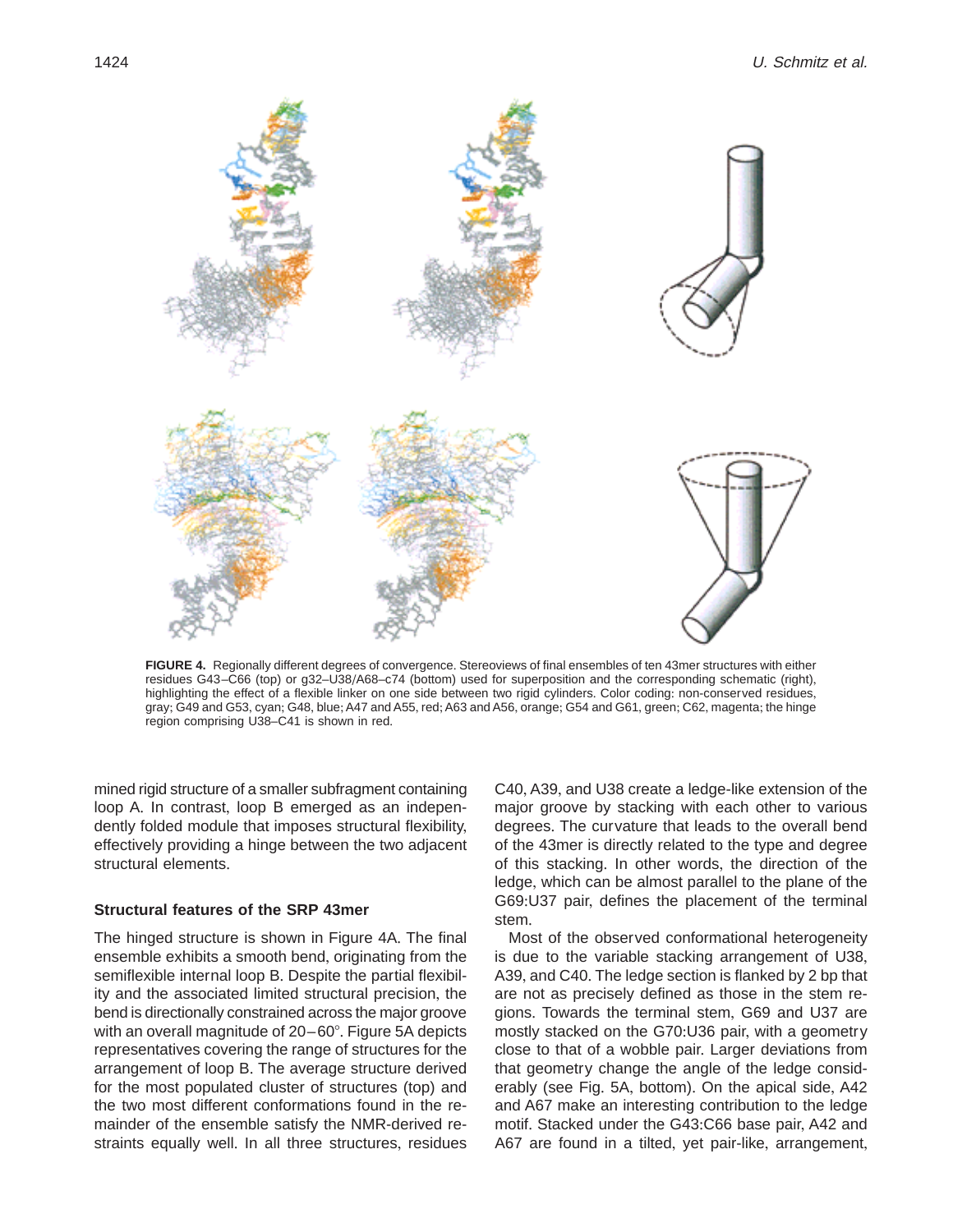

FIGURE 4. Regionally different degrees of convergence. Stereoviews of final ensembles of ten 43mer structures with either residues G43–C66 (top) or g32–U38/A68–c74 (bottom) used for superposition and the corresponding schematic (right), highlighting the effect of a flexible linker on one side between two rigid cylinders. Color coding: non-conserved residues, gray; G49 and G53, cyan; G48, blue; A47 and A55, red; A63 and A56, orange; G54 and G61, green; C62, magenta; the hinge region comprising U38–C41 is shown in red.

mined rigid structure of a smaller subfragment containing loop A. In contrast, loop B emerged as an independently folded module that imposes structural flexibility, effectively providing a hinge between the two adjacent structural elements.

## **Structural features of the SRP 43mer**

The hinged structure is shown in Figure 4A. The final ensemble exhibits a smooth bend, originating from the semiflexible internal loop B. Despite the partial flexibility and the associated limited structural precision, the bend is directionally constrained across the major groove with an overall magnitude of  $20-60^\circ$ . Figure 5A depicts representatives covering the range of structures for the arrangement of loop B. The average structure derived for the most populated cluster of structures (top) and the two most different conformations found in the remainder of the ensemble satisfy the NMR-derived restraints equally well. In all three structures, residues C40, A39, and U38 create a ledge-like extension of the major groove by stacking with each other to various degrees. The curvature that leads to the overall bend of the 43mer is directly related to the type and degree of this stacking. In other words, the direction of the ledge, which can be almost parallel to the plane of the G69:U37 pair, defines the placement of the terminal stem.

Most of the observed conformational heterogeneity is due to the variable stacking arrangement of U38, A39, and C40. The ledge section is flanked by 2 bp that are not as precisely defined as those in the stem regions. Towards the terminal stem, G69 and U37 are mostly stacked on the G70:U36 pair, with a geometry close to that of a wobble pair. Larger deviations from that geometry change the angle of the ledge considerably (see Fig. 5A, bottom). On the apical side, A42 and A67 make an interesting contribution to the ledge motif. Stacked under the G43:C66 base pair, A42 and A67 are found in a tilted, yet pair-like, arrangement,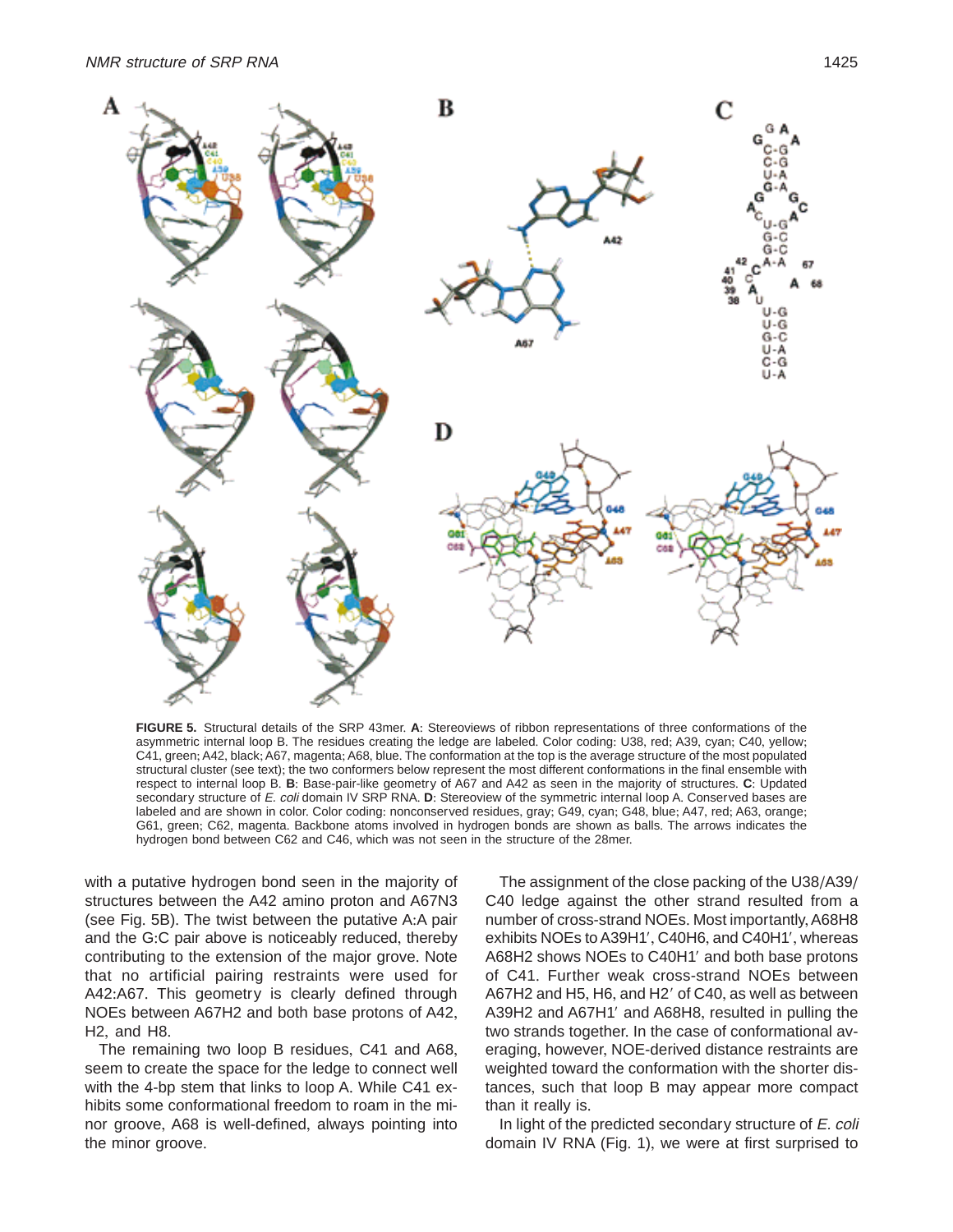

FIGURE 5. Structural details of the SRP 43mer. A: Stereoviews of ribbon representations of three conformations of the asymmetric internal loop B. The residues creating the ledge are labeled. Color coding: U38, red; A39, cyan; C40, yellow; C41, green; A42, black; A67, magenta; A68, blue. The conformation at the top is the average structure of the most populated structural cluster (see text); the two conformers below represent the most different conformations in the final ensemble with respect to internal loop B. **B**: Base-pair-like geometry of A67 and A42 as seen in the majority of structures. C: Updated secondary structure of E. coli domain IV SRP RNA. D: Stereoview of the symmetric internal loop A. Conserved bases are labeled and are shown in color. Color coding: nonconserved residues, gray; G49, cyan; G48, blue; A47, red; A63, orange; G61, green; C62, magenta. Backbone atoms involved in hydrogen bonds are shown as balls. The arrows indicates the hydrogen bond between C62 and C46, which was not seen in the structure of the 28mer.

with a putative hydrogen bond seen in the majority of structures between the A42 amino proton and A67N3 (see Fig.  $5B$ ). The twist between the putative A:A pair and the G:C pair above is noticeably reduced, thereby contributing to the extension of the major grove. Note that no artificial pairing restraints were used for A42:A67. This geometry is clearly defined through NOEs between A67H2 and both base protons of A42,  $H2$ , and  $H8$ .

The remaining two loop B residues, C41 and A68, seem to create the space for the ledge to connect well with the 4-bp stem that links to loop A. While C41 exhibits some conformational freedom to roam in the minor groove, A68 is well-defined, always pointing into the minor groove.

The assignment of the close packing of the U38/A39/ C40 ledge against the other strand resulted from a number of cross-strand NOEs. Most importantly, A68H8 exhibits NOEs to A39H1', C40H6, and C40H1', whereas A68H2 shows NOEs to C40H1' and both base protons of C41. Further weak cross-strand NOEs between A67H2 and H5, H6, and H2' of C40, as well as between A39H2 and A67H1' and A68H8, resulted in pulling the two strands together. In the case of conformational averaging, however, NOE-derived distance restraints are weighted toward the conformation with the shorter distances, such that loop B may appear more compact than it really is.

In light of the predicted secondary structure of E. coli domain IV RNA (Fig. 1), we were at first surprised to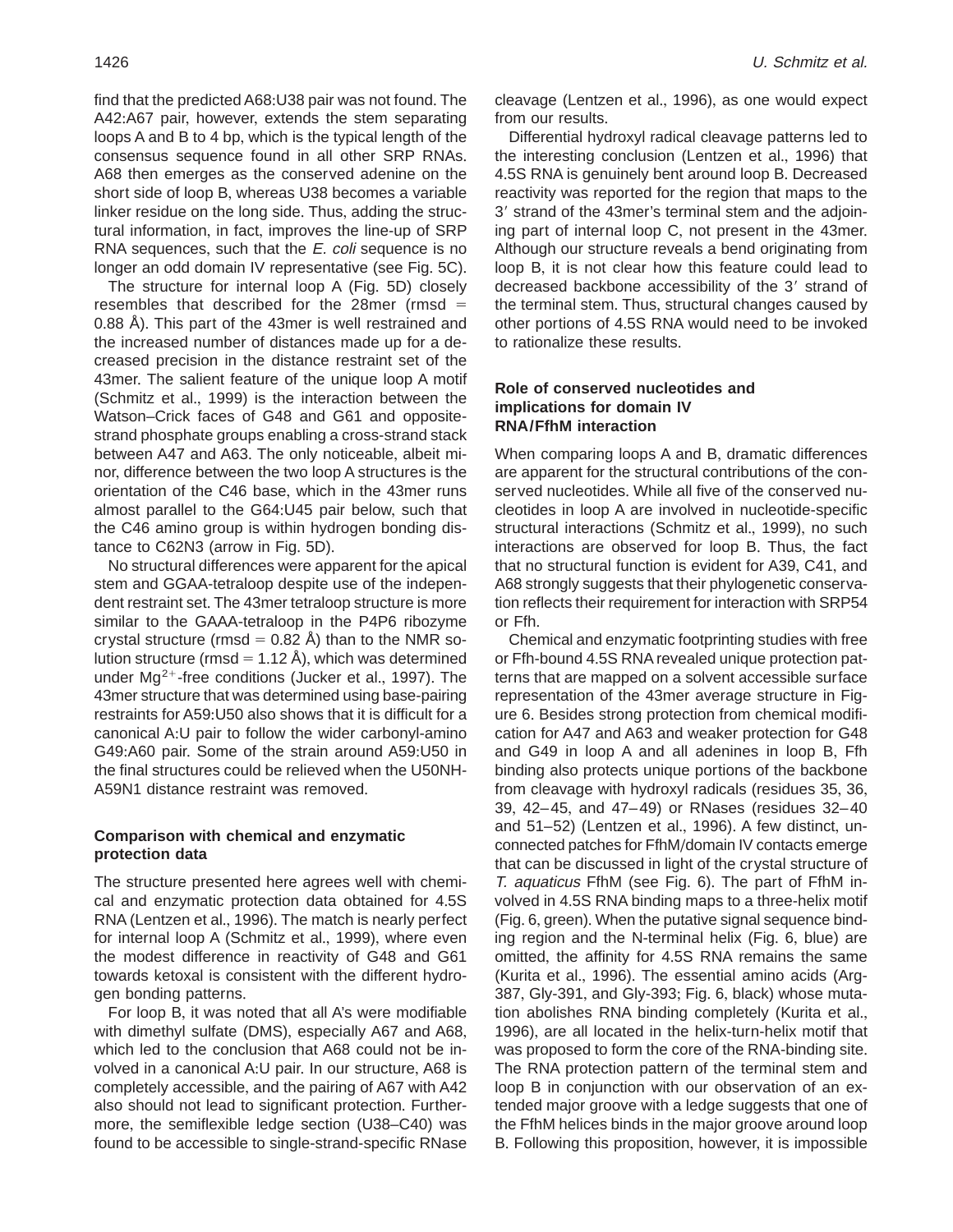find that the predicted A68:U38 pair was not found. The A42:A67 pair, however, extends the stem separating loops A and B to 4 bp, which is the typical length of the consensus sequence found in all other SRP RNAs. A68 then emerges as the conserved adenine on the short side of loop B, whereas U38 becomes a variable linker residue on the long side. Thus, adding the structural information, in fact, improves the line-up of SRP RNA sequences, such that the E. coli sequence is no longer an odd domain IV representative (see Fig. 5C).

The structure for internal loop  $A$  (Fig. 5D) closely resembles that described for the 28mer (rmsd  $=$ 0.88 Å). This part of the 43mer is well restrained and the increased number of distances made up for a decreased precision in the distance restraint set of the 43mer. The salient feature of the unique loop A motif (Schmitz et al., 1999) is the interaction between the Watson–Crick faces of G48 and G61 and oppositestrand phosphate groups enabling a cross-strand stack between A47 and A63. The only noticeable, albeit minor, difference between the two loop A structures is the orientation of the C46 base, which in the 43mer runs almost parallel to the G64:U45 pair below, such that the C46 amino group is within hydrogen bonding distance to  $C62N3$  (arrow in Fig.  $5D$ ).

No structural differences were apparent for the apical stem and GGAA-tetraloop despite use of the independent restraint set. The 43mer tetraloop structure is more similar to the GAAA-tetraloop in the P4P6 ribozyme crystal structure (rmsd  $= 0.82$  Å) than to the NMR solution structure (rmsd = 1.12 Å), which was determined under  $Mg^{2+}$ -free conditions (Jucker et al., 1997). The 43mer structure that was determined using base-pairing restraints for A59:U50 also shows that it is difficult for a canonical A:U pair to follow the wider carbonyl-amino G49:A60 pair. Some of the strain around A59:U50 in the final structures could be relieved when the U50NH-A59N1 distance restraint was removed.

## **Comparison with chemical and enzymatic protection data**

The structure presented here agrees well with chemical and enzymatic protection data obtained for 4.5S RNA (Lentzen et al., 1996). The match is nearly perfect for internal loop A (Schmitz et al., 1999), where even the modest difference in reactivity of G48 and G61 towards ketoxal is consistent with the different hydrogen bonding patterns.

For loop B, it was noted that all A's were modifiable with dimethyl sulfate (DMS), especially A67 and A68, which led to the conclusion that A68 could not be involved in a canonical A:U pair. In our structure, A68 is completely accessible, and the pairing of A67 with A42 also should not lead to significant protection. Furthermore, the semiflexible ledge section (U38–C40) was found to be accessible to single-strand-specific RNase

cleavage (Lentzen et al., 1996), as one would expect from our results.

Differential hydroxyl radical cleavage patterns led to the interesting conclusion (Lentzen et al., 1996) that 4.5S RNA is genuinely bent around loop B. Decreased reactivity was reported for the region that maps to the 3' strand of the 43mer's terminal stem and the adjoining part of internal loop  $C$ , not present in the 43mer. Although our structure reveals a bend originating from loop B, it is not clear how this feature could lead to decreased backbone accessibility of the 3' strand of the terminal stem. Thus, structural changes caused by other portions of 4.5S RNA would need to be invoked to rationalize these results.

# **Role of conserved nucleotides and implications for domain IV RNA/FfhM interaction**

When comparing loops A and B, dramatic differences are apparent for the structural contributions of the conserved nucleotides. While all five of the conserved nucleotides in loop A are involved in nucleotide-specific structural interactions (Schmitz et al., 1999), no such interactions are observed for loop B. Thus, the fact that no structural function is evident for A39, C41, and A68 strongly suggests that their phylogenetic conservation reflects their requirement for interaction with SRP54 or Ffh.

Chemical and enzymatic footprinting studies with free or Ffh-bound 4.5S RNA revealed unique protection patterns that are mapped on a solvent accessible surface representation of the 43mer average structure in Figure 6. Besides strong protection from chemical modification for A47 and A63 and weaker protection for G48 and G49 in loop A and all adenines in loop B, Ffh binding also protects unique portions of the backbone from cleavage with hydroxyl radicals (residues 35, 36, 39, 42–45, and 47–49) or RNases (residues 32–40 and  $51-52$ ) (Lentzen et al., 1996). A few distinct, unconnected patches for FfhM/domain IV contacts emerge that can be discussed in light of the crystal structure of  $T<sub>1</sub>$  aquaticus FfhM (see Fig. 6). The part of FfhM involved in 4.5S RNA binding maps to a three-helix motif (Fig. 6, green). When the putative signal sequence binding region and the N-terminal helix (Fig.  $6$ , blue) are omitted, the affinity for 4.5S RNA remains the same (Kurita et al., 1996). The essential amino acids (Arg-387, Gly-391, and Gly-393; Fig. 6, black) whose mutation abolishes RNA binding completely (Kurita et al., 1996), are all located in the helix-turn-helix motif that was proposed to form the core of the RNA-binding site. The RNA protection pattern of the terminal stem and loop B in conjunction with our observation of an extended major groove with a ledge suggests that one of the FfhM helices binds in the major groove around loop B. Following this proposition, however, it is impossible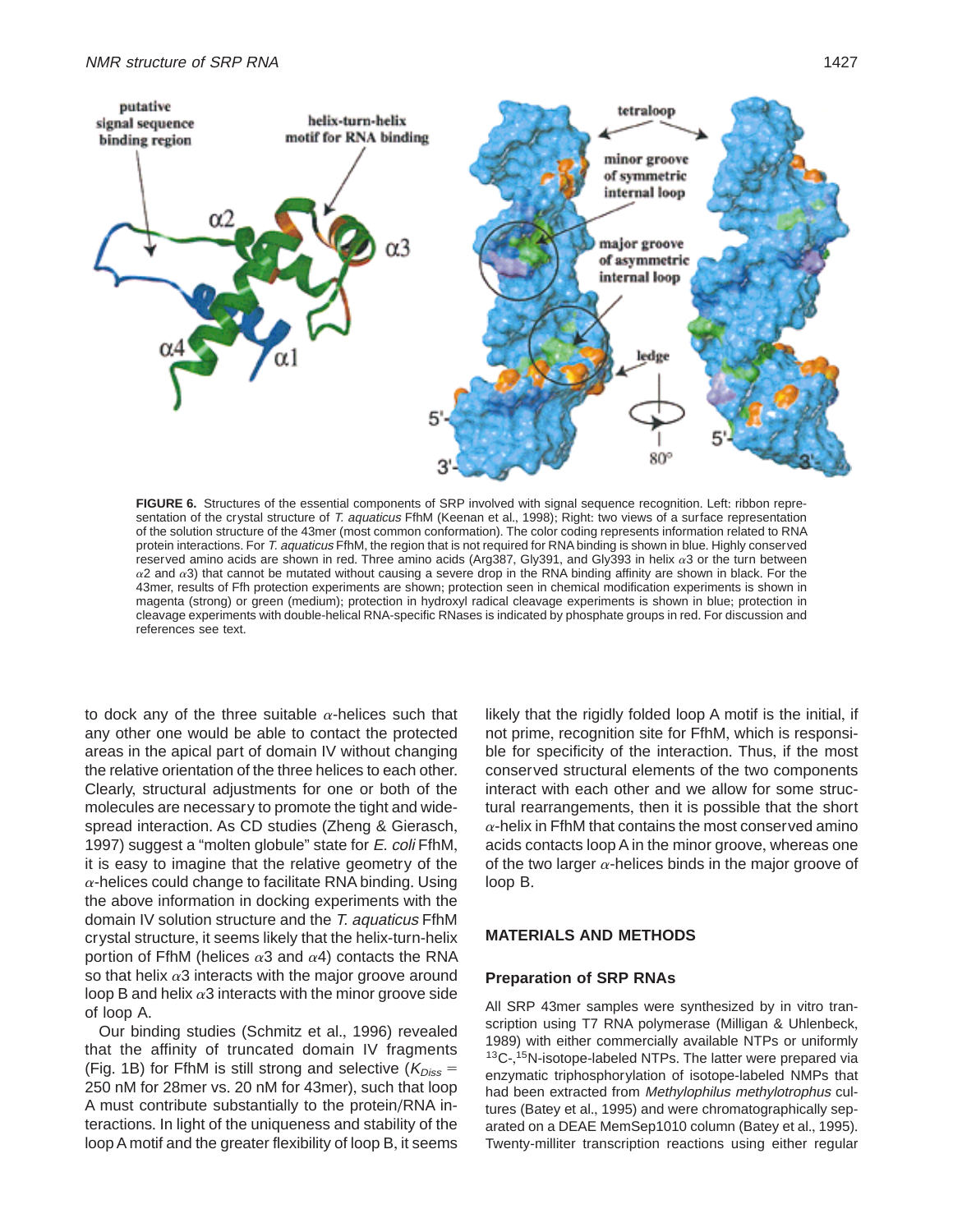

FIGURE 6. Structures of the essential components of SRP involved with signal sequence recognition. Left: ribbon representation of the crystal structure of T. aquaticus FfhM (Keenan et al., 1998); Right: two views of a surface representation of the solution structure of the 43mer (most common conformation)+ The color coding represents information related to RNA protein interactions. For T. aquaticus FfhM, the region that is not required for RNA binding is shown in blue. Highly conserved reserved amino acids are shown in red. Three amino acids (Arg387, Gly391, and Gly393 in helix  $\alpha$ 3 or the turn between  $\alpha$ 2 and  $\alpha$ 3) that cannot be mutated without causing a severe drop in the RNA binding affinity are shown in black. For the 43mer, results of Ffh protection experiments are shown; protection seen in chemical modification experiments is shown in magenta (strong) or green (medium); protection in hydroxyl radical cleavage experiments is shown in blue; protection in cleavage experiments with double-helical RNA-specific RNases is indicated by phosphate groups in red. For discussion and references see text+

to dock any of the three suitable  $\alpha$ -helices such that any other one would be able to contact the protected areas in the apical part of domain IV without changing the relative orientation of the three helices to each other. Clearly, structural adjustments for one or both of the molecules are necessary to promote the tight and widespread interaction. As CD studies (Zheng & Gierasch, 1997) suggest a "molten globule" state for E. coli FfhM, it is easy to imagine that the relative geometry of the  $\alpha$ -helices could change to facilitate RNA binding. Using the above information in docking experiments with the domain IV solution structure and the T. aquaticus FfhM crystal structure, it seems likely that the helix-turn-helix portion of FfhM (helices  $\alpha$ 3 and  $\alpha$ 4) contacts the RNA so that helix  $\alpha$ 3 interacts with the major groove around loop B and helix  $\alpha$ 3 interacts with the minor groove side of loop A.

Our binding studies (Schmitz et al., 1996) revealed that the affinity of truncated domain IV fragments (Fig. 1B) for FfhM is still strong and selective ( $K_{Diss}$  = 250 nM for 28mer vs. 20 nM for 43mer), such that loop A must contribute substantially to the protein/RNA interactions. In light of the uniqueness and stability of the loop A motif and the greater flexibility of loop B, it seems likely that the rigidly folded loop A motif is the initial, if not prime, recognition site for FfhM, which is responsible for specificity of the interaction. Thus, if the most conserved structural elements of the two components interact with each other and we allow for some structural rearrangements, then it is possible that the short  $\alpha$ -helix in FfhM that contains the most conserved amino acids contacts loop A in the minor groove, whereas one of the two larger  $\alpha$ -helices binds in the major groove of loop B.

## **MATERIALS AND METHODS**

## **Preparation of SRP RNAs**

All SRP 43mer samples were synthesized by in vitro transcription using T7 RNA polymerase (Milligan & Uhlenbeck, 1989) with either commercially available NTPs or uniformly  $13C$ -,  $15N$ -isotope-labeled NTPs. The latter were prepared via enzymatic triphosphorylation of isotope-labeled NMPs that had been extracted from Methylophilus methylotrophus cultures (Batey et al., 1995) and were chromatographically separated on a DEAE MemSep1010 column (Batey et al., 1995). Twenty-milliter transcription reactions using either regular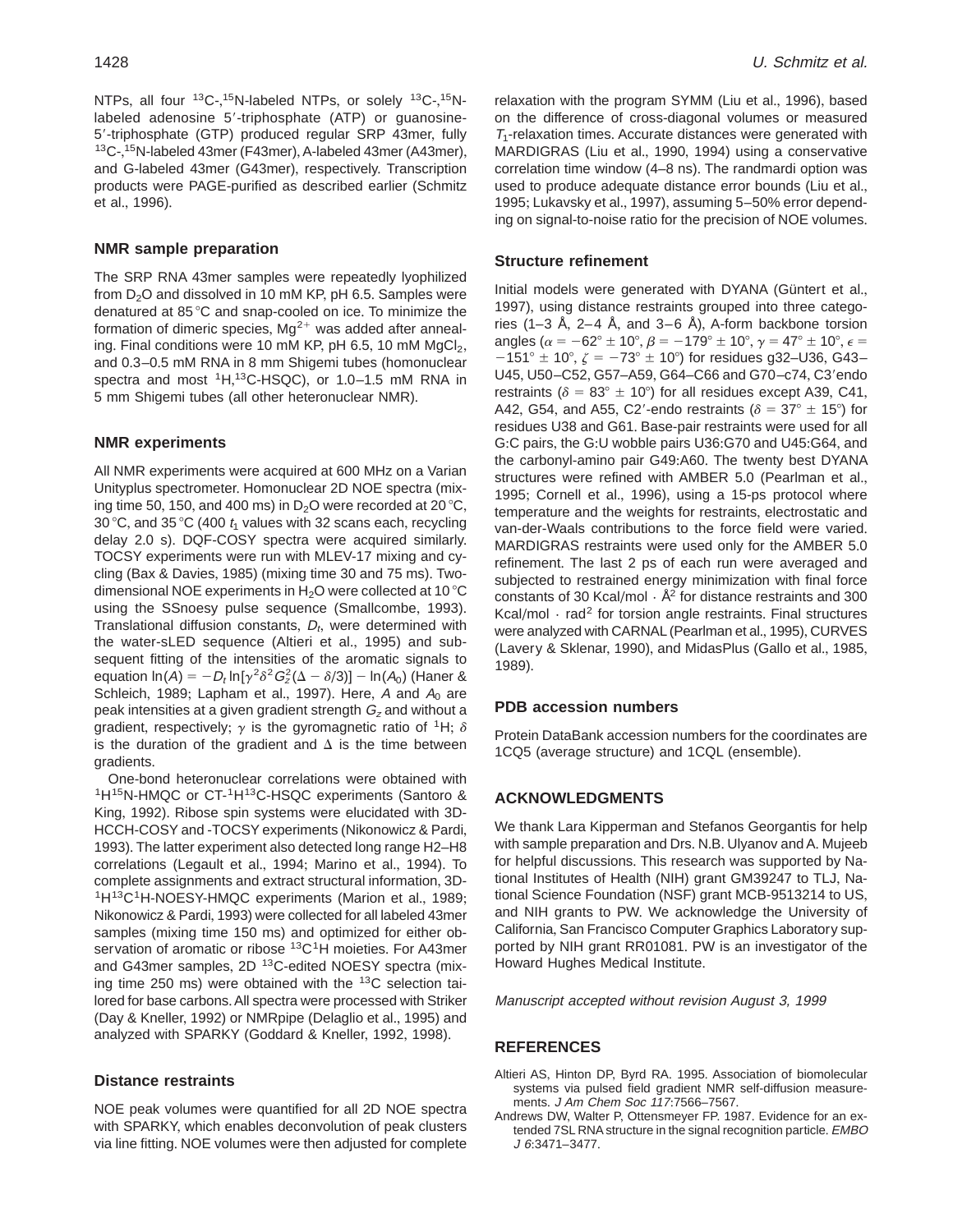NTPs, all four <sup>13</sup>C-,<sup>15</sup>N-labeled NTPs, or solely <sup>13</sup>C-,<sup>15</sup>Nlabeled adenosine 5'-triphosphate (ATP) or guanosine-5'-triphosphate (GTP) produced regular SRP 43mer, fully<br><sup>13</sup>C-,<sup>15</sup>N-labeled 43mer (F43mer), A-labeled 43mer (A43mer), and G-labeled 43mer (G43mer), respectively. Transcription products were PAGE-purified as described earlier (Schmitz et al., 1996).

## **NMR sample preparation**

The SRP RNA 43mer samples were repeatedly lyophilized from  $D_2O$  and dissolved in 10 mM KP, pH 6.5. Samples were denatured at  $85^{\circ}$ C and snap-cooled on ice. To minimize the formation of dimeric species,  $Mg^{2+}$  was added after annealing. Final conditions were 10 mM KP, pH 6.5, 10 mM  $MqCl<sub>2</sub>$ , and 0.3–0.5 mM RNA in 8 mm Shigemi tubes (homonuclear spectra and most <sup>1</sup>H,<sup>13</sup>C-HSQC), or 1.0–1.5 mM RNA in 5 mm Shigemi tubes (all other heteronuclear NMR).

#### **NMR experiments**

All NMR experiments were acquired at 600 MHz on a Varian Unityplus spectrometer. Homonuclear 2D NOE spectra (mixing time 50, 150, and 400 ms) in  $D_2O$  were recorded at 20 °C, 30 °C, and 35 °C (400  $t_1$  values with 32 scans each, recycling delay 2.0 s). DQF-COSY spectra were acquired similarly. TOCSY experiments were run with MLEV-17 mixing and cycling (Bax & Davies, 1985) (mixing time 30 and 75 ms)+ Twodimensional NOE experiments in  $H_2O$  were collected at 10 °C using the SSnoesy pulse sequence (Smallcombe, 1993). Translational diffusion constants,  $D_t$ , were determined with the water-sLED sequence (Altieri et al., 1995) and subsequent fitting of the intensities of the aromatic signals to equation  $\ln(A) = -D_t \ln[\gamma^2 \delta^2 G_z^2(\Delta - \delta/3)] - \ln(A_0)$  (Haner & Schleich, 1989; Lapham et al., 1997). Here, A and  $A_0$  are peak intensities at a given gradient strength  $G<sub>z</sub>$  and without a gradient, respectively;  $\gamma$  is the gyromagnetic ratio of <sup>1</sup>H;  $\delta$ is the duration of the gradient and  $\Delta$  is the time between gradients.

One-bond heteronuclear correlations were obtained with <sup>1</sup>H<sup>15</sup>N-HMQC or CT-<sup>1</sup>H<sup>13</sup>C-HSQC experiments (Santoro & King, 1992). Ribose spin systems were elucidated with 3D-HCCH-COSY and -TOCSY experiments (Nikonowicz & Pardi, 1993). The latter experiment also detected long range H2–H8 correlations (Legault et al., 1994; Marino et al., 1994). To<br>complete assignments and extract structural information, 3D- $1H^{13}C1H-NOESY-HMQC$  experiments (Marion et al., 1989; Nikonowicz & Pardi, 1993) were collected for all labeled 43mer samples (mixing time 150 ms) and optimized for either observation of aromatic or ribose  ${}^{13}C$ <sup>1</sup>H moieties. For A43mer and G43mer samples, 2D <sup>13</sup>C-edited NOESY spectra (mixing time 250 ms) were obtained with the  $13C$  selection tailored for base carbons. All spectra were processed with Striker (Day & Kneller, 1992) or NMRpipe (Delaglio et al., 1995) and analyzed with SPARKY (Goddard & Kneller, 1992, 1998).

## **Distance restraints**

NOE peak volumes were quantified for all 2D NOE spectra with SPARKY, which enables deconvolution of peak clusters via line fitting. NOE volumes were then adjusted for complete relaxation with the program SYMM (Liu et al., 1996), based on the difference of cross-diagonal volumes or measured  $T_1$ -relaxation times. Accurate distances were generated with MARDIGRAS (Liu et al., 1990, 1994) using a conservative correlation time window (4–8 ns). The randmardi option was used to produce adequate distance error bounds (Liu et al., 1995; Lukavsky et al., 1997), assuming 5–50% error depending on signal-to-noise ratio for the precision of NOE volumes.

#### **Structure refinement**

Initial models were generated with DYANA (Güntert et al., 1997), using distance restraints grouped into three categories (1–3 Å, 2–4 Å, and 3–6 Å), A-form backbone torsion angles ( $\alpha = -62^{\circ} \pm 10^{\circ}$ ,  $\beta = -179^{\circ} \pm 10^{\circ}$ ,  $\gamma = 47^{\circ} \pm 10^{\circ}$ ,  $\epsilon =$  $-151^{\circ} \pm 10^{\circ}$ ,  $\zeta = -73^{\circ} \pm 10^{\circ}$ ) for residues g32–U36, G43– U45, U50-C52, G57-A59, G64-C66 and G70-c74, C3'endo restraints ( $\delta = 83^{\circ} \pm 10^{\circ}$ ) for all residues except A39, C41, A42, G54, and A55, C2'-endo restraints ( $\delta = 37^{\circ} \pm 15^{\circ}$ ) for residues U38 and G61. Base-pair restraints were used for all G:C pairs, the G:U wobble pairs U36:G70 and U45:G64, and the carbonyl-amino pair G49:A60. The twenty best DYANA structures were refined with AMBER 5.0 (Pearlman et al., 1995; Cornell et al., 1996), using a 15-ps protocol where temperature and the weights for restraints, electrostatic and van-der-Waals contributions to the force field were varied. MARDIGRAS restraints were used only for the AMBER 5.0 refinement. The last 2 ps of each run were averaged and subjected to restrained energy minimization with final force constants of 30 Kcal/mol  $\cdot$  Å<sup>2</sup> for distance restraints and 300 Kcal/mol  $\cdot$  rad<sup>2</sup> for torsion angle restraints. Final structures were analyzed with CARNAL (Pearlman et al., 1995), CURVES (Lavery & Sklenar, 1990), and MidasPlus (Gallo et al., 1985, 1989).

## **PDB accession numbers**

Protein DataBank accession numbers for the coordinates are 1CQ5 (average structure) and 1CQL (ensemble).

# **ACKNOWLEDGMENTS**

We thank Lara Kipperman and Stefanos Georgantis for help with sample preparation and Drs. N.B. Ulyanov and A. Mujeeb for helpful discussions. This research was supported by National Institutes of Health (NIH) grant GM39247 to TLJ, National Science Foundation (NSF) grant MCB-9513214 to US, and NIH grants to PW. We acknowledge the University of California, San Francisco Computer Graphics Laboratory supported by NIH grant RR01081. PW is an investigator of the Howard Hughes Medical Institute.

Manuscript accepted without revision August 3, 1999

## **REFERENCES**

- Altieri AS, Hinton DP, Byrd RA, 1995. Association of biomolecular systems via pulsed field gradient NMR self-diffusion measurements. J Am Chem Soc 117:7566-7567.
- Andrews DW, Walter P, Ottensmeyer FP, 1987. Evidence for an extended 7SL RNA structure in the signal recognition particle. EMBO  $J$  6:3471-3477.